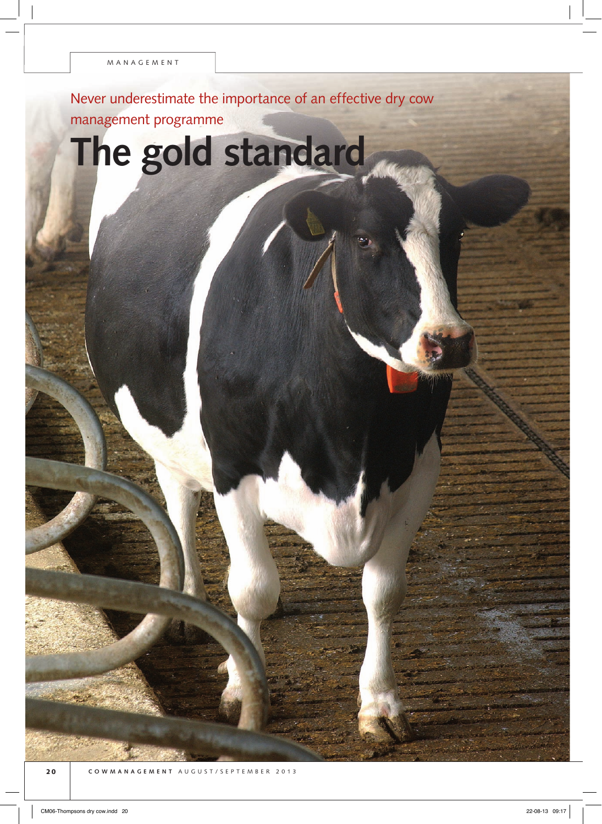Never underestimate the importance of an effective dry cow management programme

**The gold standard**